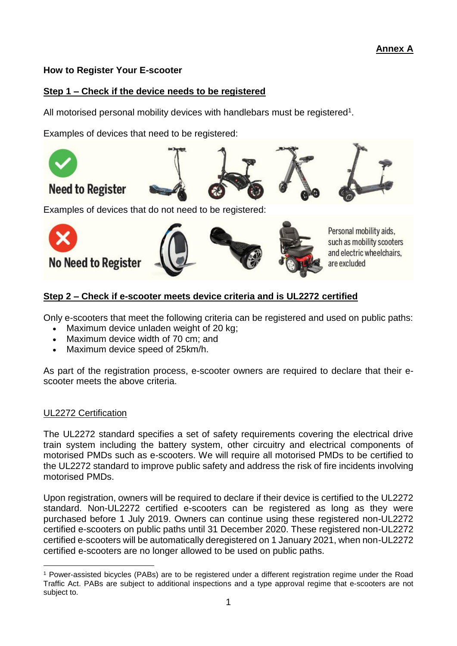# **How to Register Your E-scooter**

# **Step 1 – Check if the device needs to be registered**

All motorised personal mobility devices with handlebars must be registered<sup>1</sup>.

Examples of devices that need to be registered:



Examples of devices that do not need to be registered:



# **Step 2 – Check if e-scooter meets device criteria and is UL2272 certified**

Only e-scooters that meet the following criteria can be registered and used on public paths:

- Maximum device unladen weight of 20 kg;
- Maximum device width of 70 cm; and
- Maximum device speed of 25km/h.

As part of the registration process, e-scooter owners are required to declare that their escooter meets the above criteria.

#### UL2272 Certification

 $\overline{a}$ 

The UL2272 standard specifies a set of safety requirements covering the electrical drive train system including the battery system, other circuitry and electrical components of motorised PMDs such as e-scooters. We will require all motorised PMDs to be certified to the UL2272 standard to improve public safety and address the risk of fire incidents involving motorised PMDs.

Upon registration, owners will be required to declare if their device is certified to the UL2272 standard. Non-UL2272 certified e-scooters can be registered as long as they were purchased before 1 July 2019. Owners can continue using these registered non-UL2272 certified e-scooters on public paths until 31 December 2020. These registered non-UL2272 certified e-scooters will be automatically deregistered on 1 January 2021, when non-UL2272 certified e-scooters are no longer allowed to be used on public paths.

<sup>1</sup> Power-assisted bicycles (PABs) are to be registered under a different registration regime under the Road Traffic Act. PABs are subject to additional inspections and a type approval regime that e-scooters are not subject to.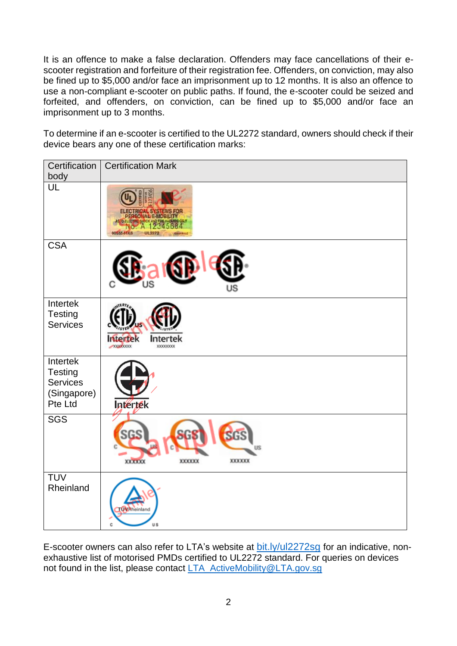It is an offence to make a false declaration. Offenders may face cancellations of their escooter registration and forfeiture of their registration fee. Offenders, on conviction, may also be fined up to \$5,000 and/or face an imprisonment up to 12 months. It is also an offence to use a non-compliant e-scooter on public paths. If found, the e-scooter could be seized and forfeited, and offenders, on conviction, can be fined up to \$5,000 and/or face an imprisonment up to 3 months.

To determine if an e-scooter is certified to the UL2272 standard, owners should check if their device bears any one of these certification marks:

| Certification  <br>body                                          | <b>Certification Mark</b>                                                                                                        |
|------------------------------------------------------------------|----------------------------------------------------------------------------------------------------------------------------------|
| UL                                                               | <b>RICAL SYSTEMS FOR</b><br>SONAL E-MOBILITY<br>ASTO ELECTRIC SHOCK A<br>Б<br>IN S<br>0055544K6<br>UL2272<br><b>COSTA EN LLC</b> |
| <b>CSA</b>                                                       | JS                                                                                                                               |
| Intertek<br>Testing<br><b>Services</b>                           | Intertek<br>Intertek<br>XOOOOXXX<br><b>XXXXXXXX</b>                                                                              |
| Intertek<br><b>Testing</b><br>Services<br>(Singapore)<br>Pte Ltd | Intertek                                                                                                                         |
| <b>SGS</b>                                                       | <b>SGS</b><br>SGS<br>US<br><b>XXXXXXX</b><br>XXXXXX<br><b>XXXXXXX</b>                                                            |
| <b>TUV</b><br>Rheinland                                          | <b>LOVA</b> heinland<br>us<br>Ċ                                                                                                  |

E-scooter owners can also refer to LTA's website at **[bit.ly/ul2272sg](https://www.lta.gov.sg/content/dam/ltaweb/corp/GreenTransport/2018/UL2272/ul2272_certified_pmds.pdf)** for an indicative, nonexhaustive list of motorised PMDs certified to UL2272 standard. For queries on devices not found in the list, please contact [LTA\\_ActiveMobility@LTA.gov.sg](mailto:LTA_ActiveMobility@LTA.gov.sg)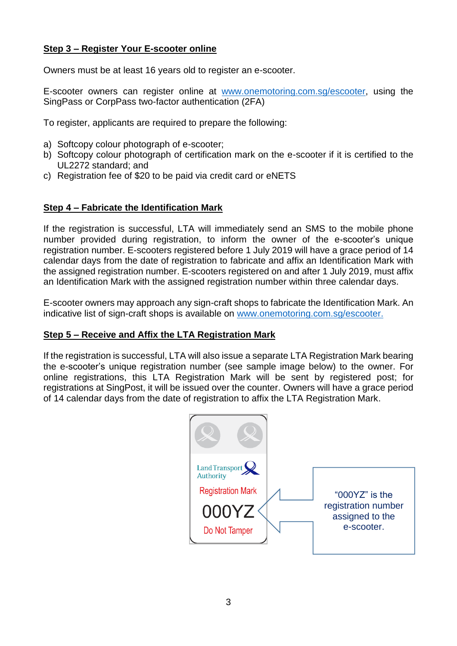# **Step 3 – Register Your E-scooter online**

Owners must be at least 16 years old to register an e-scooter.

E-scooter owners can register online at [www.onemotoring.com.sg/escooter,](file:///C:/Users/lta_chuansc/AppData/Local/Microsoft/Windows/INetCache/Content.Outlook/KJ3WMJGW/www.onemotoring.com.sg/escooter) using the SingPass or CorpPass two-factor authentication (2FA)

To register, applicants are required to prepare the following:

- a) Softcopy colour photograph of e-scooter;
- b) Softcopy colour photograph of certification mark on the e-scooter if it is certified to the UL2272 standard; and
- c) Registration fee of \$20 to be paid via credit card or eNETS

#### **Step 4 – Fabricate the Identification Mark**

If the registration is successful, LTA will immediately send an SMS to the mobile phone number provided during registration, to inform the owner of the e-scooter's unique registration number. E-scooters registered before 1 July 2019 will have a grace period of 14 calendar days from the date of registration to fabricate and affix an Identification Mark with the assigned registration number. E-scooters registered on and after 1 July 2019, must affix an Identification Mark with the assigned registration number within three calendar days.

E-scooter owners may approach any sign-craft shops to fabricate the Identification Mark. An indicative list of sign-craft shops is available on [www.onemotoring.com.sg/escooter.](file:///C:/Users/lta_chuansc/AppData/Local/Microsoft/Windows/INetCache/Content.Outlook/KJ3WMJGW/www.onemotoring.com.sg/escooter)

#### **Step 5 – Receive and Affix the LTA Registration Mark**

If the registration is successful, LTA will also issue a separate LTA Registration Mark bearing the e-scooter's unique registration number (see sample image below) to the owner. For online registrations, this LTA Registration Mark will be sent by registered post; for registrations at SingPost, it will be issued over the counter. Owners will have a grace period of 14 calendar days from the date of registration to affix the LTA Registration Mark.

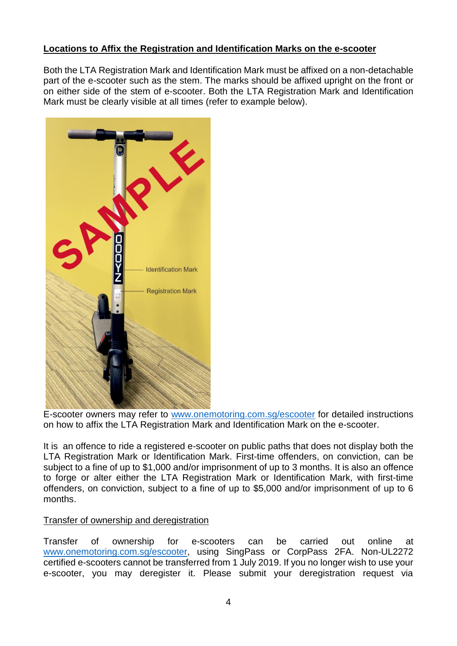# **Locations to Affix the Registration and Identification Marks on the e-scooter**

Both the LTA Registration Mark and Identification Mark must be affixed on a non-detachable part of the e-scooter such as the stem. The marks should be affixed upright on the front or on either side of the stem of e-scooter. Both the LTA Registration Mark and Identification Mark must be clearly visible at all times (refer to example below).



E-scooter owners may refer to [www.onemotoring.com.sg/escooter](http://www.onemotoring.com.sg/escooter) for detailed instructions on how to affix the LTA Registration Mark and Identification Mark on the e-scooter.

It is an offence to ride a registered e-scooter on public paths that does not display both the LTA Registration Mark or Identification Mark. First-time offenders, on conviction, can be subject to a fine of up to \$1,000 and/or imprisonment of up to 3 months. It is also an offence to forge or alter either the LTA Registration Mark or Identification Mark, with first-time offenders, on conviction, subject to a fine of up to \$5,000 and/or imprisonment of up to 6 months.

#### Transfer of ownership and deregistration

Transfer of ownership for e-scooters can be carried out online at [www.onemotoring.com.sg/escooter,](file:///C:/Users/lta_chuansc/AppData/Local/Microsoft/Windows/INetCache/Content.Outlook/KJ3WMJGW/www.onemotoring.com.sg/escooter) using SingPass or CorpPass 2FA. Non-UL2272 certified e-scooters cannot be transferred from 1 July 2019. If you no longer wish to use your e-scooter, you may deregister it. Please submit your deregistration request via